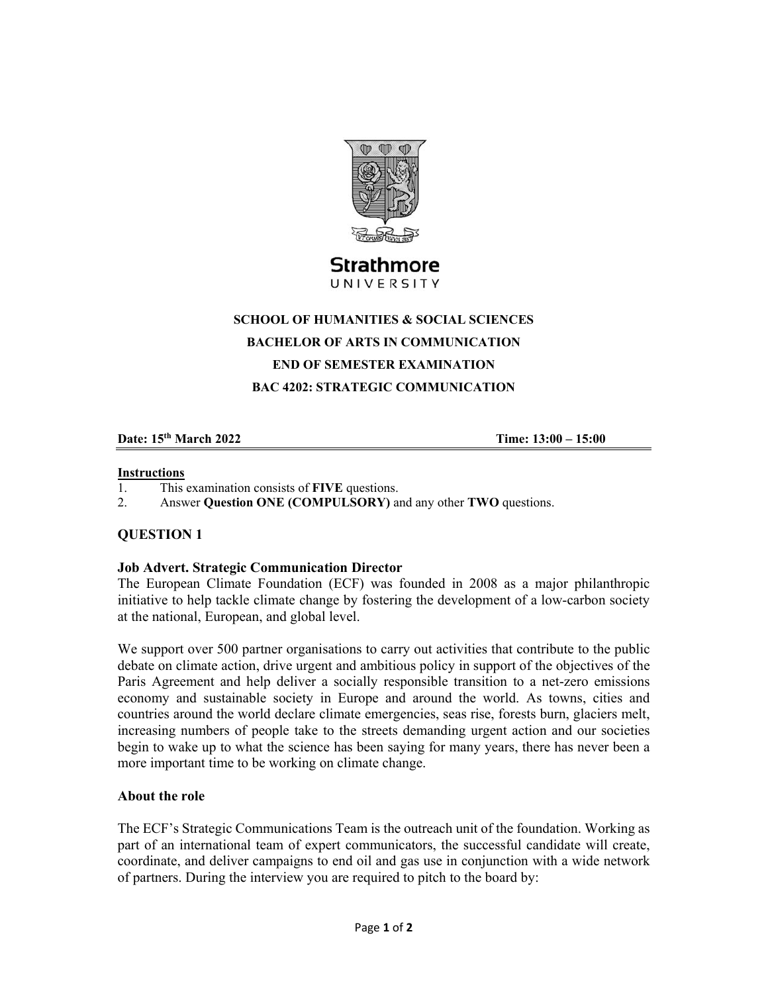

UNIVERSITY

### **SCHOOL OF HUMANITIES & SOCIAL SCIENCES**

**BACHELOR OF ARTS IN COMMUNICATION** 

## **END OF SEMESTER EXAMINATION**

**BAC 4202: STRATEGIC COMMUNICATION** 

### **Date: 15th March 2022 Time: 13:00 – 15:00**

#### **Instructions**

- 1. This examination consists of **FIVE** questions.
- 2. Answer **Question ONE (COMPULSORY)** and any other **TWO** questions.

# **QUESTION 1**

### **Job Advert. Strategic Communication Director**

The European Climate Foundation (ECF) was founded in 2008 as a major philanthropic initiative to help tackle climate change by fostering the development of a low-carbon society at the national, European, and global level.

We support over 500 partner organisations to carry out activities that contribute to the public debate on climate action, drive urgent and ambitious policy in support of the objectives of the Paris Agreement and help deliver a socially responsible transition to a net-zero emissions economy and sustainable society in Europe and around the world. As towns, cities and countries around the world declare climate emergencies, seas rise, forests burn, glaciers melt, increasing numbers of people take to the streets demanding urgent action and our societies begin to wake up to what the science has been saying for many years, there has never been a more important time to be working on climate change.

### **About the role**

The ECF's Strategic Communications Team is the outreach unit of the foundation. Working as part of an international team of expert communicators, the successful candidate will create, coordinate, and deliver campaigns to end oil and gas use in conjunction with a wide network of partners. During the interview you are required to pitch to the board by: